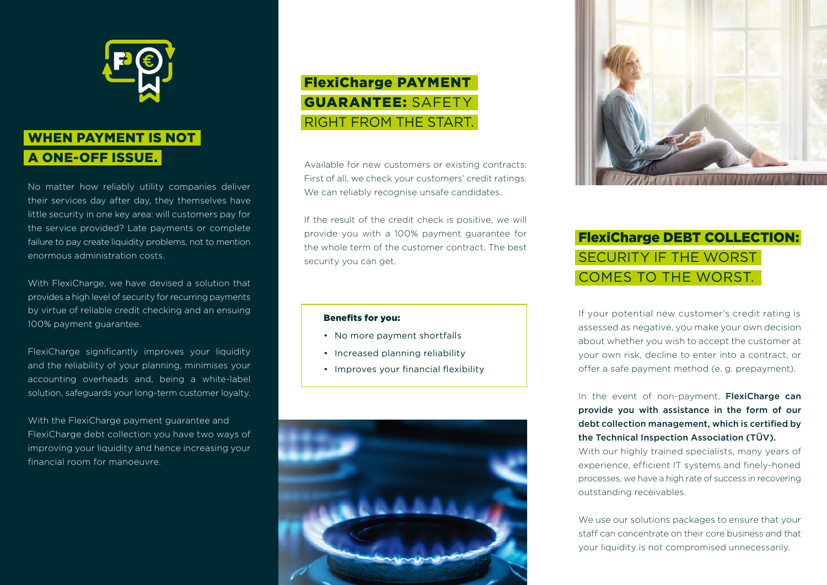

### WHEN PAYMENT IS NOT A ONE-OFF ISSUE.

No matter how reliably utility companies deliver their services day after day, they themselves have little security in one key area: will customers pay for the service provided? Late payments or complete failure to pay create liquidity problems, not to mention enormous administration costs.

With FlexiCharge, we have devised a solution that provides a high level of security for recurring payments by virtue of reliable credit checking and an ensuing 100% payment guarantee.

FlexiCharge significantly improves your liquidity and the reliability of your planning, minimises your accounting overheads and, being a white-label solution, safeguards your long-term customer loyalty.

With the FlexiCharge payment guarantee and FlexiCharge debt collection you have two ways of improving your liquidity and hence increasing your financial room for manoeuvre.

# FlexiCharge PAYMENT GUARANTEE: SAFETY RIGHT FROM THE START.

Available for new customers or existing contracts: First of all, we check your customers' credit ratings. We can reliably recognise unsafe candidates.

If the result of the credit check is positive, we will provide you with a 100% payment guarantee for the whole term of the customer contract. The best security you can get.

#### Benefits for you:

- No more payment shortfalls
- Increased planning reliability
- • Improves your financial flexibility





# FlexiCharge DEBT COLLECTION: SECURITY IF THE WORST COMES TO THE WORST.

If your potential new customer's credit rating is assessed as negative, you make your own decision about whether you wish to accept the customer at your own risk, decline to enter into a contract, or offer a safe payment method (e. g. prepayment).

In the event of non-payment, FlexiCharge can provide you with assistance in the form of our debt collection management, which is certified by the Technical Inspection Association (TÜV).

With our highly trained specialists, many years of experience, efficient IT systems and finely-honed processes, we have a high rate of success in recovering outstanding receivables.

We use our solutions packages to ensure that your staff can concentrate on their core business and that your liquidity is not compromised unnecessarily.